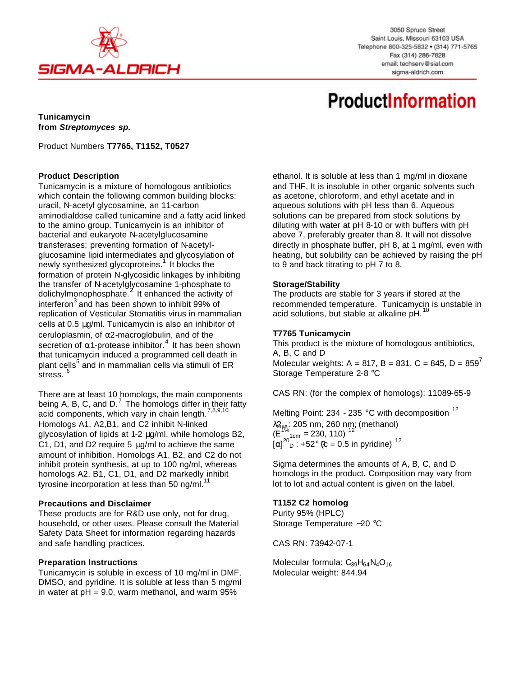

3050 Spruce Street Saint Louis, Missouri 63103 USA Telephone 800-325-5832 · (314) 771-5765 Fax (314) 286-7828 email: techserv@sial.com sigma-aldrich.com

# **ProductInformation**

**Tunicamycin from** *Streptomyces sp.*

Product Numbers **T7765, T1152, T0527**

## **Product Description**

Tunicamycin is a mixture of homologous antibiotics which contain the following common building blocks: uracil, N-acetyl glycosamine, an 11-carbon aminodialdose called tunicamine and a fatty acid linked to the amino group. Tunicamycin is an inhibitor of bacterial and eukaryote N-acetylglucosamine transferases; preventing formation of N-acetylglucosamine lipid intermediates and glycosylation of newly synthesized glycoproteins.<sup>1</sup> It blocks the formation of protein N-glycosidic linkages by inhibiting the transfer of N-acetylglycosamine 1-phosphate to dolichylmonophosphate.<sup>2</sup> It enhanced the activity of interferon<sup>3</sup> and has been shown to inhibit 99% of replication of Vesticular Stomatitis virus in mammalian cells at 0.5 μg/ml. Tunicamycin is also an inhibitor of ceruloplasmin, of α2-macroglobulin, and of the secretion of  $\alpha$ 1-protease inhibitor.<sup>4</sup> It has been shown that tunicamycin induced a programmed cell death in plant cells<sup>5</sup> and in mammalian cells via stimuli of ER stress.<sup>6</sup>

There are at least 10 homologs, the main components being A, B, C, and D.<sup>7</sup> The homologs differ in their fatty acid components, which vary in chain length.<sup>7,8,9,10</sup> Homologs A1, A2,B1, and C2 inhibit N-linked glycosylation of lipids at 1-2 μg/ml, while homologs B2, C1, D1, and D2 require 5 μg/ml to achieve the same amount of inhibition. Homologs A1, B2, and C2 do not inhibit protein synthesis, at up to 100 ng/ml, whereas homologs A2, B1, C1, D1, and D2 markedly inhibit tyrosine incorporation at less than 50 ng/ml. $<sup>11</sup>$ </sup>

#### **Precautions and Disclaimer**

These products are for R&D use only, not for drug, household, or other uses. Please consult the Material Safety Data Sheet for information regarding hazards and safe handling practices.

#### **Preparation Instructions**

Tunicamycin is soluble in excess of 10 mg/ml in DMF, DMSO, and pyridine. It is soluble at less than 5 mg/ml in water at  $pH = 9.0$ , warm methanol, and warm 95%

ethanol. It is soluble at less than 1 mg/ml in dioxane and THF. It is insoluble in other organic solvents such as acetone, chloroform, and ethyl acetate and in aqueous solutions with pH less than 6. Aqueous solutions can be prepared from stock solutions by diluting with water at pH 8-10 or with buffers with pH above 7, preferably greater than 8. It will not dissolve directly in phosphate buffer, pH 8, at 1 mg/ml, even with heating, but solubility can be achieved by raising the pH to 9 and back titrating to pH 7 to 8.

## **Storage/Stability**

The products are stable for 3 years if stored at the recommended temperature. Tunicamycin is unstable in acid solutions, but stable at alkaline pH.<sup>11</sup>

## **T7765 Tunicamycin**

This product is the mixture of homologous antibiotics, A, B, C and D Molecular weights: A = 817, B = 831, C = 845, D = 859<sup> $\prime$ </sup> Storage Temperature 2-8 °C

CAS RN: (for the complex of homologs): 11089-65-9

Melting Point: 234 - 235 °C with decomposition <sup>12</sup> λ<sub>ἦax</sub>: 205 nm, 260 nm̥; (methanol)  $(\dot{E}_{\text{1cm}}^{1\%})_{\text{1cm}} = 230, 110$ ,  $^{12}$  $[\alpha]_{D}^{20}$  : +52° (c = 0.5 in pyridine)<sup>12</sup>

Sigma determines the amounts of A, B, C, and D homologs in the product. Composition may vary from lot to lot and actual content is given on the label.

## **T1152 C2 homolog**

Purity 95% (HPLC) Storage Temperature −20 °C

CAS RN: 73942-07-1

Molecular formula:  $C_{39}H_{64}N_4O_{16}$ Molecular weight: 844.94